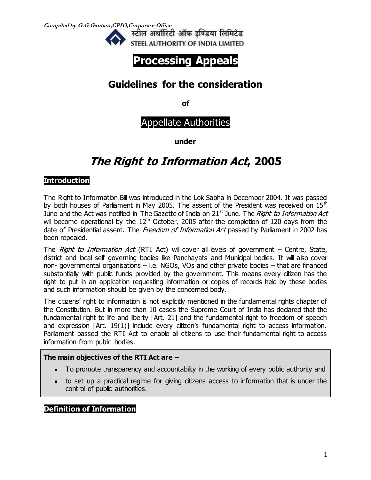**Compiled by G.G.Gautam,CPIO,Corporate Office** 





## **Guidelines for the consideration**

**of**

Appellate Authorities

**under**

# **The Right to Information Act, 2005**

### **Introduction**

The Right to Information Bill was introduced in the Lok Sabha in December 2004. It was passed by both houses of Parliament in May 2005. The assent of the President was received on  $15<sup>th</sup>$ June and the Act was notified in The Gazette of India on  $21<sup>st</sup>$  June. The Right to Information Act will become operational by the  $12<sup>th</sup>$  October, 2005 after the completion of 120 days from the date of Presidential assent. The Freedom of Information Act passed by Parliament in 2002 has been repealed.

The Right to Information Act (RTI Act) will cover all levels of government  $-$  Centre, State, district and local self governing bodies like Panchayats and Municipal bodies. It will also cover non- governmental organisations – i.e. NGOs, VOs and other private bodies – that are financed substantially with public funds provided by the government. This means every citizen has the right to put in an application requesting information or copies of records held by these bodies and such information should be given by the concerned body.

The citizens' right to information is not explicitly mentioned in the fundamental rights chapter of the Constitution. But in more than 10 cases the Supreme Court of India has declared that the fundamental right to life and liberty [Art. 21] and the fundamental right to freedom of speech and expression [Art. 19(1)] include every citizen's fundamental right to access information. Parliament passed the RTI Act to enable all citizens to use their fundamental right to access information from public bodies.

#### **The main objectives of the RTI Act are –**

- To promote transparency and accountability in the working of every public authority and
- to set up a practical regime for giving citizens access to information that is under the control of public authorities.

**Definition of Information**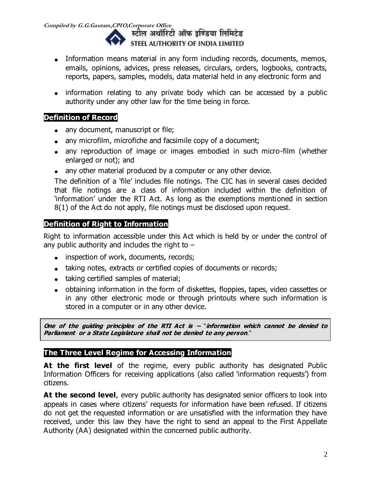**Compiled by G.G.Gautam,CPIO,Corporate Office**  STEEL AUTHORITY OF INDIA LIMITED

- Information means material in any form including records, documents, memos, emails, opinions, advices, press releases, circulars, orders, logbooks, contracts, reports, papers, samples, models, data material held in any electronic form and
- information relating to any private body which can be accessed by a public authority under any other law for the time being in force.

### **Definition of Record**

- any document, manuscript or file;
- any microfilm, microfiche and facsimile copy of a document;
- any reproduction of image or images embodied in such micro-film (whether enlarged or not); and
- any other material produced by a computer or any other device.

The definition of a 'file' includes file notings. The CIC has in several cases decided that file notings are a class of information included within the definition of 'information' under the RTI Act. As long as the exemptions mentioned in section 8(1) of the Act do not apply, file notings must be disclosed upon request.

### **Definition of Right to Information**

Right to information accessible under this Act which is held by or under the control of any public authority and includes the right to  $-$ 

- inspection of work, documents, records;
- taking notes, extracts or certified copies of documents or records;
- taking certified samples of material;
- obtaining information in the form of diskettes, floppies, tapes, video cassettes or in any other electronic mode or through printouts where such information is stored in a computer or in any other device.

**One of the guiding principles of the RTI Act is –** "**information which cannot be denied to Parliament or a State Legislature shall not be denied to any person**."

### **The Three Level Regime for Accessing Information**

At the first level of the regime, every public authority has designated Public Information Officers for receiving applications (also called 'information requests') from citizens.

At the second level, every public authority has designated senior officers to look into appeals in cases where citizens' requests for information have been refused. If citizens do not get the requested information or are unsatisfied with the information they have received, under this law they have the right to send an appeal to the First Appellate Authority (AA) designated within the concerned public authority.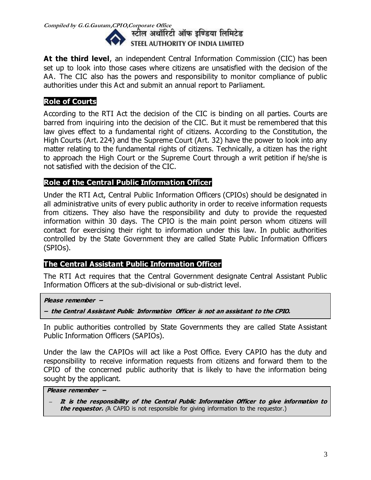

**At the third level**, an independent Central Information Commission (CIC) has been set up to look into those cases where citizens are unsatisfied with the decision of the AA. The CIC also has the powers and responsibility to monitor compliance of public authorities under this Act and submit an annual report to Parliament.

### **Role of Courts**

According to the RTI Act the decision of the CIC is binding on all parties. Courts are barred from inquiring into the decision of the CIC. But it must be remembered that this law gives effect to a fundamental right of citizens. According to the Constitution, the High Courts (Art. 224) and the Supreme Court (Art. 32) have the power to look into any matter relating to the fundamental rights of citizens. Technically, a citizen has the right to approach the High Court or the Supreme Court through a writ petition if he/she is not satisfied with the decision of the CIC.

### **Role of the Central Public Information Officer**

Under the RTI Act, Central Public Information Officers (CPIOs) should be designated in all administrative units of every public authority in order to receive information requests from citizens. They also have the responsibility and duty to provide the requested information within 30 days. The CPIO is the main point person whom citizens will contact for exercising their right to information under this law. In public authorities controlled by the State Government they are called State Public Information Officers (SPIOs).

#### **The Central Assistant Public Information Officer**

The RTI Act requires that the Central Government designate Central Assistant Public Information Officers at the sub-divisional or sub-district level.

**Please remember –**

**– the Central Assistant Public Information Officer is not an assistant to the CPIO.** 

In public authorities controlled by State Governments they are called State Assistant Public Information Officers (SAPIOs).

Under the law the CAPIOs will act like a Post Office. Every CAPIO has the duty and responsibility to receive information requests from citizens and forward them to the CPIO of the concerned public authority that is likely to have the information being sought by the applicant.

#### **Please remember –**

**– It is the responsibility of the Central Public Information Officer to give information to the requestor.** (A CAPIO is not responsible for giving information to the requestor.)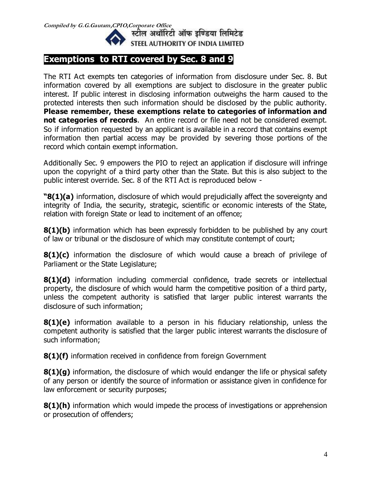

## **Exemptions to RTI covered by Sec. 8 and 9**

The RTI Act exempts ten categories of information from disclosure under Sec. 8. But information covered by all exemptions are subject to disclosure in the greater public interest. If public interest in disclosing information outweighs the harm caused to the protected interests then such information should be disclosed by the public authority. **Please remember, these exemptions relate to categories of information and not categories of records**. An entire record or file need not be considered exempt. So if information requested by an applicant is available in a record that contains exempt information then partial access may be provided by severing those portions of the record which contain exempt information.

Additionally Sec. 9 empowers the PIO to reject an application if disclosure will infringe upon the copyright of a third party other than the State. But this is also subject to the public interest override. Sec. 8 of the RTI Act is reproduced below -

**"8(1)(a)** information, disclosure of which would prejudicially affect the sovereignty and integrity of India, the security, strategic, scientific or economic interests of the State, relation with foreign State or lead to incitement of an offence;

**8(1)(b)** information which has been expressly forbidden to be published by any court of law or tribunal or the disclosure of which may constitute contempt of court;

**8(1)(c)** information the disclosure of which would cause a breach of privilege of Parliament or the State Legislature;

**8(1)(d)** information including commercial confidence, trade secrets or intellectual property, the disclosure of which would harm the competitive position of a third party, unless the competent authority is satisfied that larger public interest warrants the disclosure of such information;

**8(1)(e)** information available to a person in his fiduciary relationship, unless the competent authority is satisfied that the larger public interest warrants the disclosure of such information;

**8(1)(f)** information received in confidence from foreign Government

**8(1)(g)** information, the disclosure of which would endanger the life or physical safety of any person or identify the source of information or assistance given in confidence for law enforcement or security purposes;

**8(1)(h)** information which would impede the process of investigations or apprehension or prosecution of offenders;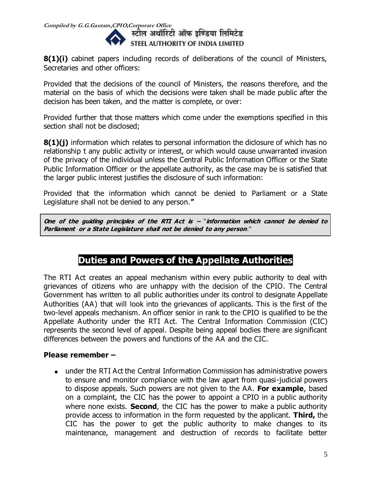

**8(1)(i)** cabinet papers including records of deliberations of the council of Ministers, Secretaries and other officers:

Provided that the decisions of the council of Ministers, the reasons therefore, and the material on the basis of which the decisions were taken shall be made public after the decision has been taken, and the matter is complete, or over:

Provided further that those matters which come under the exemptions specified in this section shall not be disclosed;

**8(1)(j)** information which relates to personal information the diclosure of which has no relationship t any public activity or interest, or which would cause unwarranted invasion of the privacy of the individual unless the Central Public Information Officer or the State Public Information Officer or the appellate authority, as the case may be is satisfied that the larger public interest justifies the disclosure of such information:

Provided that the information which cannot be denied to Parliament or a State Legislature shall not be denied to any person.**"**

**One of the guiding principles of the RTI Act is –** "**information which cannot be denied to Parliament or a State Legislature shall not be denied to any person**."

## **Duties and Powers of the Appellate Authorities**

The RTI Act creates an appeal mechanism within every public authority to deal with grievances of citizens who are unhappy with the decision of the CPIO. The Central Government has written to all public authorities under its control to designate Appellate Authorities (AA) that will look into the grievances of applicants. This is the first of the two-level appeals mechanism. An officer senior in rank to the CPIO is qualified to be the Appellate Authority under the RTI Act. The Central Information Commission (CIC) represents the second level of appeal. Despite being appeal bodies there are significant differences between the powers and functions of the AA and the CIC.

### **Please remember –**

under the RTI Act the Central Information Commission has administrative powers to ensure and monitor compliance with the law apart from quasi-judicial powers to dispose appeals. Such powers are not given to the AA. **For example**, based on a complaint, the CIC has the power to appoint a CPIO in a public authority where none exists. **Second**, the CIC has the power to make a public authority provide access to information in the form requested by the applicant. **Third,** the CIC has the power to get the public authority to make changes to its maintenance, management and destruction of records to facilitate better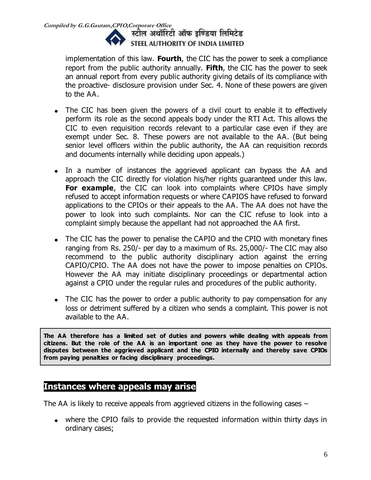

implementation of this law. **Fourth**, the CIC has the power to seek a compliance report from the public authority annually. **Fifth**, the CIC has the power to seek an annual report from every public authority giving details of its compliance with the proactive- disclosure provision under Sec. 4. None of these powers are given to the AA.

- The CIC has been given the powers of a civil court to enable it to effectively perform its role as the second appeals body under the RTI Act. This allows the CIC to even requisition records relevant to a particular case even if they are exempt under Sec. 8. These powers are not available to the AA. (But being senior level officers within the public authority, the AA can requisition records and documents internally while deciding upon appeals.)
- In a number of instances the aggrieved applicant can bypass the AA and approach the CIC directly for violation his/her rights guaranteed under this law. **For example**, the CIC can look into complaints where CPIOs have simply refused to accept information requests or where CAPIOS have refused to forward applications to the CPIOs or their appeals to the AA. The AA does not have the power to look into such complaints. Nor can the CIC refuse to look into a complaint simply because the appellant had not approached the AA first.
- The CIC has the power to penalise the CAPIO and the CPIO with monetary fines ranging from Rs. 250/- per day to a maximum of Rs. 25,000/- The CIC may also recommend to the public authority disciplinary action against the erring CAPIO/CPIO. The AA does not have the power to impose penalties on CPIOs. However the AA may initiate disciplinary proceedings or departmental action against a CPIO under the regular rules and procedures of the public authority.
- The CIC has the power to order a public authority to pay compensation for any loss or detriment suffered by a citizen who sends a complaint. This power is not available to the AA.

**The AA therefore has a limited set of duties and powers while dealing with appeals from citizens. But the role of the AA is an important one as they have the power to resolve disputes between the aggrieved applicant and the CPIO internally and thereby save CPIOs from paying penalties or facing disciplinary proceedings.**

### **Instances where appeals may arise**

The AA is likely to receive appeals from aggrieved citizens in the following cases –

where the CPIO fails to provide the requested information within thirty days in ordinary cases;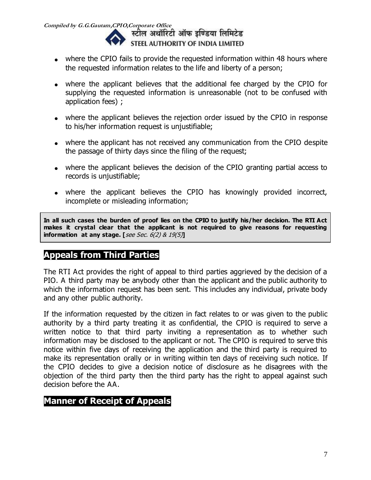**Compiled by G.G.Gautam,CPIO,Corporate Office**  STEEL AUTHORITY OF INDIA LIMITED

- where the CPIO fails to provide the requested information within 48 hours where the requested information relates to the life and liberty of a person;
- where the applicant believes that the additional fee charged by the CPIO for supplying the requested information is unreasonable (not to be confused with application fees) ;
- where the applicant believes the rejection order issued by the CPIO in response to his/her information request is unjustifiable;
- where the applicant has not received any communication from the CPIO despite the passage of thirty days since the filing of the request;
- where the applicant believes the decision of the CPIO granting partial access to records is unjustifiable;
- where the applicant believes the CPIO has knowingly provided incorrect, incomplete or misleading information;

**In all such cases the burden of proof lies on the CPIO to justify his/her decision. The RTI Act makes it crystal clear that the applicant is not required to give reasons for requesting information at any stage. [**see Sec. 6(2) & 19(5)**]** 

## **Appeals from Third Parties**

The RTI Act provides the right of appeal to third parties aggrieved by the decision of a PIO. A third party may be anybody other than the applicant and the public authority to which the information request has been sent. This includes any individual, private body and any other public authority.

If the information requested by the citizen in fact relates to or was given to the public authority by a third party treating it as confidential, the CPIO is required to serve a written notice to that third party inviting a representation as to whether such information may be disclosed to the applicant or not. The CPIO is required to serve this notice within five days of receiving the application and the third party is required to make its representation orally or in writing within ten days of receiving such notice. If the CPIO decides to give a decision notice of disclosure as he disagrees with the objection of the third party then the third party has the right to appeal against such decision before the AA.

## **Manner of Receipt of Appeals**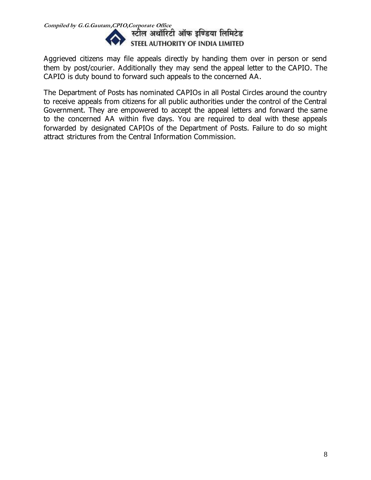

Aggrieved citizens may file appeals directly by handing them over in person or send them by post/courier. Additionally they may send the appeal letter to the CAPIO. The CAPIO is duty bound to forward such appeals to the concerned AA.

The Department of Posts has nominated CAPIOs in all Postal Circles around the country to receive appeals from citizens for all public authorities under the control of the Central Government. They are empowered to accept the appeal letters and forward the same to the concerned AA within five days. You are required to deal with these appeals forwarded by designated CAPIOs of the Department of Posts. Failure to do so might attract strictures from the Central Information Commission.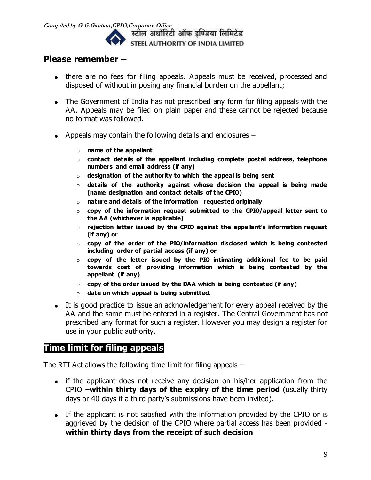

### **Please remember –**

- there are no fees for filing appeals. Appeals must be received, processed and disposed of without imposing any financial burden on the appellant;
- The Government of India has not prescribed any form for filing appeals with the AA. Appeals may be filed on plain paper and these cannot be rejected because no format was followed.
- Appeals may contain the following details and enclosures
	- o **name of the appellant**
	- o **contact details of the appellant including complete postal address, telephone numbers and email address (if any)**
	- o **designation of the authority to which the appeal is being sent**
	- o **details of the authority against whose decision the appeal is being made (name designation and contact details of the CPIO)**
	- o **nature and details of the information requested originally**
	- o **copy of the information request submitted to the CPIO/appeal letter sent to the AA (whichever is applicable)**
	- o **rejection letter issued by the CPIO against the appellant's information request (if any) or**
	- o **copy of the order of the PIO/information disclosed which is being contested including order of partial access (if any) or**
	- o **copy of the letter issued by the PIO intimating additional fee to be paid towards cost of providing information which is being contested by the appellant (if any)**
	- o **copy of the order issued by the DAA which is being contested (if any)**
	- o **date on which appeal is being submitted.**
- It is good practice to issue an acknowledgement for every appeal received by the AA and the same must be entered in a register. The Central Government has not prescribed any format for such a register. However you may design a register for use in your public authority.

## **Time limit for filing appeals**

The RTI Act allows the following time limit for filing appeals –

- if the applicant does not receive any decision on his/her application from the CPIO –**within thirty days of the expiry of the time period** (usually thirty days or 40 days if a third party's submissions have been invited).
- If the applicant is not satisfied with the information provided by the CPIO or is aggrieved by the decision of the CPIO where partial access has been provided **within thirty days from the receipt of such decision**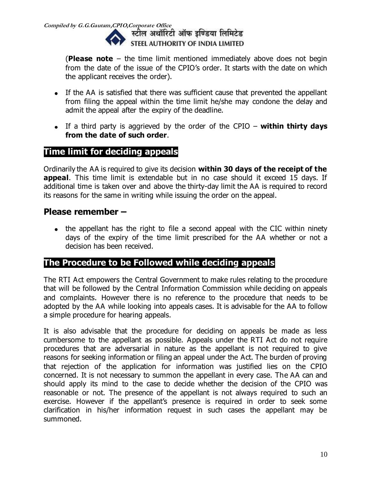**Compiled by G.G.Gautam,CPIO,Corporate Office**  STEEL AUTHORITY OF INDIA LIMITED

> (**Please note** – the time limit mentioned immediately above does not begin from the date of the issue of the CPIO's order. It starts with the date on which the applicant receives the order).

- If the AA is satisfied that there was sufficient cause that prevented the appellant from filing the appeal within the time limit he/she may condone the delay and admit the appeal after the expiry of the deadline.
- If a third party is aggrieved by the order of the CPIO **within thirty days from the date of such order**.

## **Time limit for deciding appeals**

Ordinarily the AA is required to give its decision **within 30 days of the receipt of the appeal**. This time limit is extendable but in no case should it exceed 15 days. If additional time is taken over and above the thirty-day limit the AA is required to record its reasons for the same in writing while issuing the order on the appeal.

### **Please remember –**

• the appellant has the right to file a second appeal with the CIC within ninety days of the expiry of the time limit prescribed for the AA whether or not a decision has been received.

## **The Procedure to be Followed while deciding appeals**

The RTI Act empowers the Central Government to make rules relating to the procedure that will be followed by the Central Information Commission while deciding on appeals and complaints. However there is no reference to the procedure that needs to be adopted by the AA while looking into appeals cases. It is advisable for the AA to follow a simple procedure for hearing appeals.

It is also advisable that the procedure for deciding on appeals be made as less cumbersome to the appellant as possible. Appeals under the RTI Act do not require procedures that are adversarial in nature as the appellant is not required to give reasons for seeking information or filing an appeal under the Act. The burden of proving that rejection of the application for information was justified lies on the CPIO concerned. It is not necessary to summon the appellant in every case. The AA can and should apply its mind to the case to decide whether the decision of the CPIO was reasonable or not. The presence of the appellant is not always required to such an exercise. However if the appellant's presence is required in order to seek some clarification in his/her information request in such cases the appellant may be summoned.